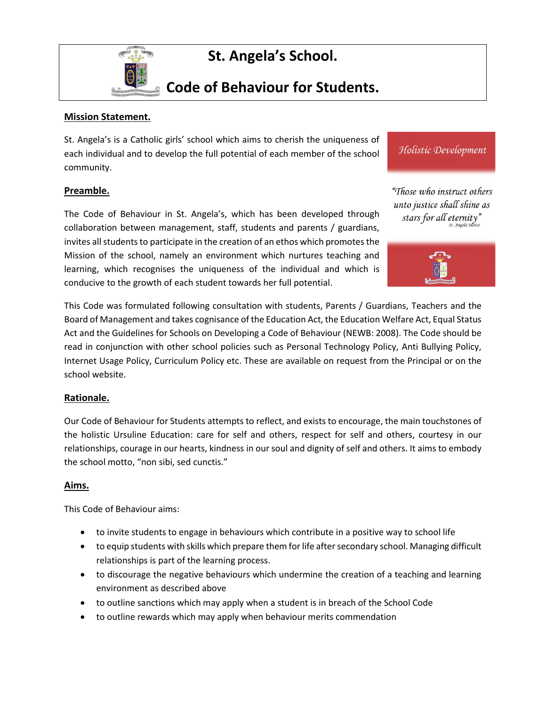

# **St. Angela's School.**

## **Code of Behaviour for Students.**

#### **Mission Statement.**

St. Angela's is a Catholic girls' school which aims to cherish the uniqueness of each individual and to develop the full potential of each member of the school community.

#### **Preamble.**

The Code of Behaviour in St. Angela's, which has been developed through collaboration between management, staff, students and parents / guardians, invites all students to participate in the creation of an ethos which promotes the Mission of the school, namely an environment which nurtures teaching and learning, which recognises the uniqueness of the individual and which is conducive to the growth of each student towards her full potential.

This Code was formulated following consultation with students, Parents / Guardians, Teachers and the Board of Management and takes cognisance of the Education Act, the Education Welfare Act, Equal Status Act and the Guidelines for Schools on Developing a Code of Behaviour (NEWB: 2008). The Code should be read in conjunction with other school policies such as Personal Technology Policy, Anti Bullying Policy, Internet Usage Policy, Curriculum Policy etc. These are available on request from the Principal or on the school website.

#### **Rationale.**

Our Code of Behaviour for Students attempts to reflect, and exists to encourage, the main touchstones of the holistic Ursuline Education: care for self and others, respect for self and others, courtesy in our relationships, courage in our hearts, kindness in our soul and dignity of self and others. It aims to embody the school motto, "non sibi, sed cunctis."

#### **Aims.**

This Code of Behaviour aims:

- to invite students to engage in behaviours which contribute in a positive way to school life
- to equip students with skills which prepare them for life after secondary school. Managing difficult relationships is part of the learning process.
- to discourage the negative behaviours which undermine the creation of a teaching and learning environment as described above
- to outline sanctions which may apply when a student is in breach of the School Code
- to outline rewards which may apply when behaviour merits commendation

"Those who instruct others unto justice shall shine as stars for all eternity' St. Angela Mi

Holistic Development

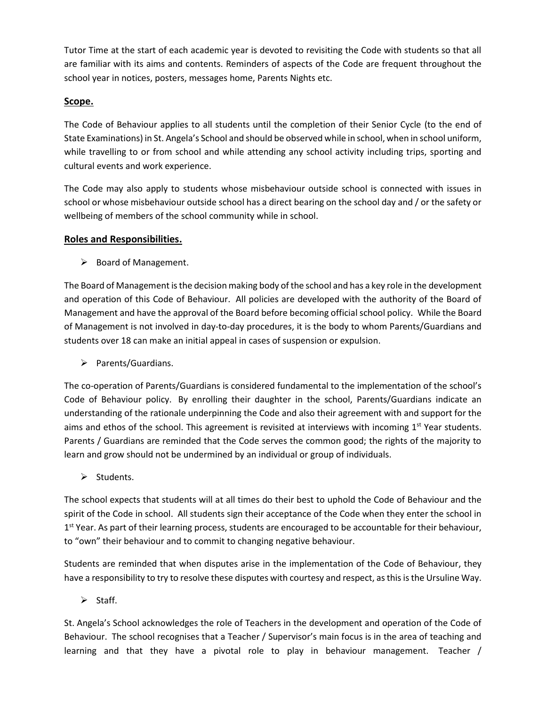Tutor Time at the start of each academic year is devoted to revisiting the Code with students so that all are familiar with its aims and contents. Reminders of aspects of the Code are frequent throughout the school year in notices, posters, messages home, Parents Nights etc.

#### **Scope.**

The Code of Behaviour applies to all students until the completion of their Senior Cycle (to the end of State Examinations) in St. Angela's School and should be observed while in school, when in school uniform, while travelling to or from school and while attending any school activity including trips, sporting and cultural events and work experience.

The Code may also apply to students whose misbehaviour outside school is connected with issues in school or whose misbehaviour outside school has a direct bearing on the school day and / or the safety or wellbeing of members of the school community while in school.

#### **Roles and Responsibilities.**

 $\triangleright$  Board of Management.

The Board of Management is the decision making body of the school and has a key role in the development and operation of this Code of Behaviour. All policies are developed with the authority of the Board of Management and have the approval of the Board before becoming official school policy. While the Board of Management is not involved in day-to-day procedures, it is the body to whom Parents/Guardians and students over 18 can make an initial appeal in cases of suspension or expulsion.

➢ Parents/Guardians.

The co-operation of Parents/Guardians is considered fundamental to the implementation of the school's Code of Behaviour policy. By enrolling their daughter in the school, Parents/Guardians indicate an understanding of the rationale underpinning the Code and also their agreement with and support for the aims and ethos of the school. This agreement is revisited at interviews with incoming 1<sup>st</sup> Year students. Parents / Guardians are reminded that the Code serves the common good; the rights of the majority to learn and grow should not be undermined by an individual or group of individuals.

➢ Students.

The school expects that students will at all times do their best to uphold the Code of Behaviour and the spirit of the Code in school. All students sign their acceptance of the Code when they enter the school in 1<sup>st</sup> Year. As part of their learning process, students are encouraged to be accountable for their behaviour, to "own" their behaviour and to commit to changing negative behaviour.

Students are reminded that when disputes arise in the implementation of the Code of Behaviour, they have a responsibility to try to resolve these disputes with courtesy and respect, as this is the Ursuline Way.

➢ Staff.

St. Angela's School acknowledges the role of Teachers in the development and operation of the Code of Behaviour. The school recognises that a Teacher / Supervisor's main focus is in the area of teaching and learning and that they have a pivotal role to play in behaviour management. Teacher /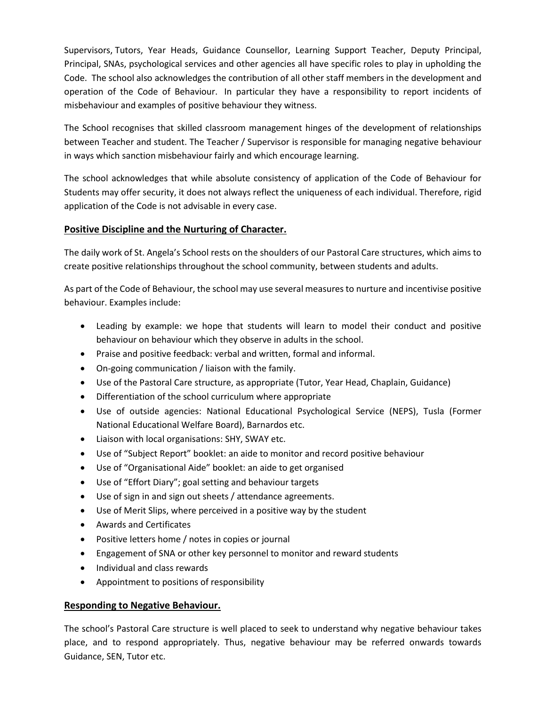Supervisors, Tutors, Year Heads, Guidance Counsellor, Learning Support Teacher, Deputy Principal, Principal, SNAs, psychological services and other agencies all have specific roles to play in upholding the Code. The school also acknowledges the contribution of all other staff members in the development and operation of the Code of Behaviour. In particular they have a responsibility to report incidents of misbehaviour and examples of positive behaviour they witness.

The School recognises that skilled classroom management hinges of the development of relationships between Teacher and student. The Teacher / Supervisor is responsible for managing negative behaviour in ways which sanction misbehaviour fairly and which encourage learning.

The school acknowledges that while absolute consistency of application of the Code of Behaviour for Students may offer security, it does not always reflect the uniqueness of each individual. Therefore, rigid application of the Code is not advisable in every case.

## **Positive Discipline and the Nurturing of Character.**

The daily work of St. Angela's School rests on the shoulders of our Pastoral Care structures, which aims to create positive relationships throughout the school community, between students and adults.

As part of the Code of Behaviour, the school may use several measures to nurture and incentivise positive behaviour. Examples include:

- Leading by example: we hope that students will learn to model their conduct and positive behaviour on behaviour which they observe in adults in the school.
- Praise and positive feedback: verbal and written, formal and informal.
- On-going communication / liaison with the family.
- Use of the Pastoral Care structure, as appropriate (Tutor, Year Head, Chaplain, Guidance)
- Differentiation of the school curriculum where appropriate
- Use of outside agencies: National Educational Psychological Service (NEPS), Tusla (Former National Educational Welfare Board), Barnardos etc.
- Liaison with local organisations: SHY, SWAY etc.
- Use of "Subject Report" booklet: an aide to monitor and record positive behaviour
- Use of "Organisational Aide" booklet: an aide to get organised
- Use of "Effort Diary"; goal setting and behaviour targets
- Use of sign in and sign out sheets / attendance agreements.
- Use of Merit Slips, where perceived in a positive way by the student
- Awards and Certificates
- Positive letters home / notes in copies or journal
- Engagement of SNA or other key personnel to monitor and reward students
- Individual and class rewards
- Appointment to positions of responsibility

#### **Responding to Negative Behaviour.**

The school's Pastoral Care structure is well placed to seek to understand why negative behaviour takes place, and to respond appropriately. Thus, negative behaviour may be referred onwards towards Guidance, SEN, Tutor etc.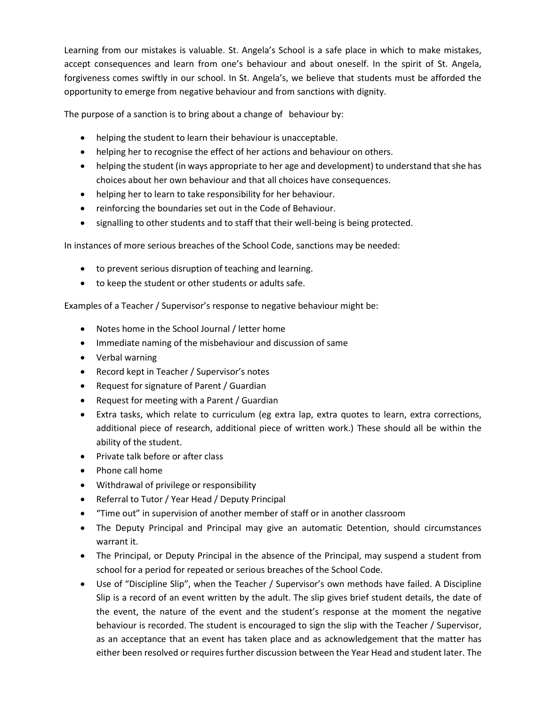Learning from our mistakes is valuable. St. Angela's School is a safe place in which to make mistakes, accept consequences and learn from one's behaviour and about oneself. In the spirit of St. Angela, forgiveness comes swiftly in our school. In St. Angela's, we believe that students must be afforded the opportunity to emerge from negative behaviour and from sanctions with dignity.

The purpose of a sanction is to bring about a change of behaviour by:

- helping the student to learn their behaviour is unacceptable.
- helping her to recognise the effect of her actions and behaviour on others.
- helping the student (in ways appropriate to her age and development) to understand that she has choices about her own behaviour and that all choices have consequences.
- helping her to learn to take responsibility for her behaviour.
- reinforcing the boundaries set out in the Code of Behaviour.
- signalling to other students and to staff that their well-being is being protected.

In instances of more serious breaches of the School Code, sanctions may be needed:

- to prevent serious disruption of teaching and learning.
- to keep the student or other students or adults safe.

Examples of a Teacher / Supervisor's response to negative behaviour might be:

- Notes home in the School Journal / letter home
- Immediate naming of the misbehaviour and discussion of same
- Verbal warning
- Record kept in Teacher / Supervisor's notes
- Request for signature of Parent / Guardian
- Request for meeting with a Parent / Guardian
- Extra tasks, which relate to curriculum (eg extra lap, extra quotes to learn, extra corrections, additional piece of research, additional piece of written work.) These should all be within the ability of the student.
- Private talk before or after class
- Phone call home
- Withdrawal of privilege or responsibility
- Referral to Tutor / Year Head / Deputy Principal
- "Time out" in supervision of another member of staff or in another classroom
- The Deputy Principal and Principal may give an automatic Detention, should circumstances warrant it.
- The Principal, or Deputy Principal in the absence of the Principal, may suspend a student from school for a period for repeated or serious breaches of the School Code.
- Use of "Discipline Slip", when the Teacher / Supervisor's own methods have failed. A Discipline Slip is a record of an event written by the adult. The slip gives brief student details, the date of the event, the nature of the event and the student's response at the moment the negative behaviour is recorded. The student is encouraged to sign the slip with the Teacher / Supervisor, as an acceptance that an event has taken place and as acknowledgement that the matter has either been resolved or requires further discussion between the Year Head and student later. The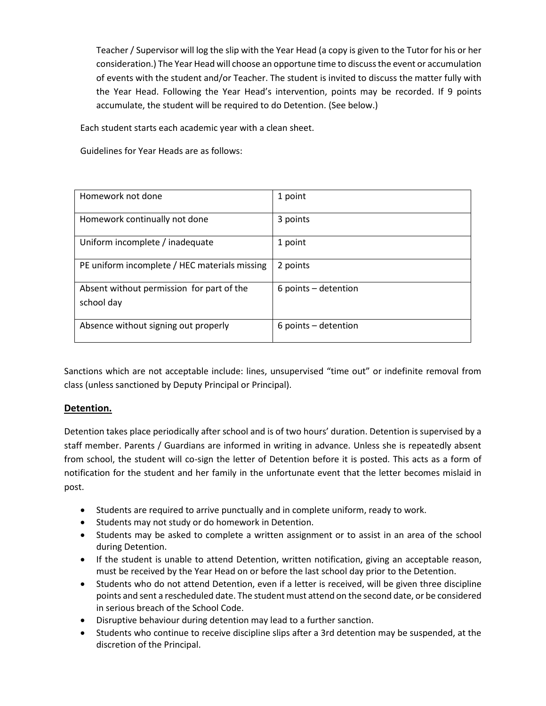Teacher / Supervisor will log the slip with the Year Head (a copy is given to the Tutor for his or her consideration.) The Year Head will choose an opportune time to discuss the event or accumulation of events with the student and/or Teacher. The student is invited to discuss the matter fully with the Year Head. Following the Year Head's intervention, points may be recorded. If 9 points accumulate, the student will be required to do Detention. (See below.)

Each student starts each academic year with a clean sheet.

Guidelines for Year Heads are as follows:

| Homework not done                                       | 1 point                  |
|---------------------------------------------------------|--------------------------|
| Homework continually not done                           | 3 points                 |
| Uniform incomplete / inadequate                         | 1 point                  |
| PE uniform incomplete / HEC materials missing           | 2 points                 |
| Absent without permission for part of the<br>school day | $6$ points $-$ detention |
| Absence without signing out properly                    | $6$ points $-$ detention |

Sanctions which are not acceptable include: lines, unsupervised "time out" or indefinite removal from class (unless sanctioned by Deputy Principal or Principal).

#### **Detention.**

Detention takes place periodically after school and is of two hours' duration. Detention is supervised by a staff member. Parents / Guardians are informed in writing in advance. Unless she is repeatedly absent from school, the student will co-sign the letter of Detention before it is posted. This acts as a form of notification for the student and her family in the unfortunate event that the letter becomes mislaid in post.

- Students are required to arrive punctually and in complete uniform, ready to work.
- Students may not study or do homework in Detention.
- Students may be asked to complete a written assignment or to assist in an area of the school during Detention.
- If the student is unable to attend Detention, written notification, giving an acceptable reason, must be received by the Year Head on or before the last school day prior to the Detention.
- Students who do not attend Detention, even if a letter is received, will be given three discipline points and sent a rescheduled date. The student must attend on the second date, or be considered in serious breach of the School Code.
- Disruptive behaviour during detention may lead to a further sanction.
- Students who continue to receive discipline slips after a 3rd detention may be suspended, at the discretion of the Principal.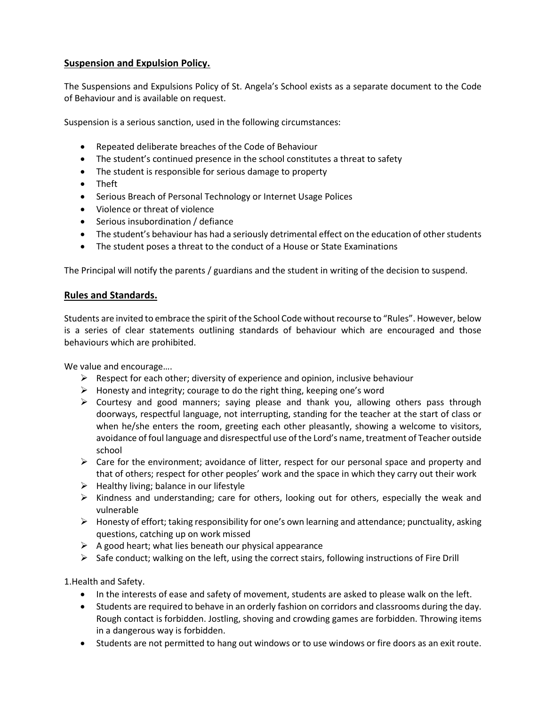## **Suspension and Expulsion Policy.**

The Suspensions and Expulsions Policy of St. Angela's School exists as a separate document to the Code of Behaviour and is available on request.

Suspension is a serious sanction, used in the following circumstances:

- Repeated deliberate breaches of the Code of Behaviour
- The student's continued presence in the school constitutes a threat to safety
- The student is responsible for serious damage to property
- Theft
- Serious Breach of Personal Technology or Internet Usage Polices
- Violence or threat of violence
- Serious insubordination / defiance
- The student's behaviour has had a seriously detrimental effect on the education of other students
- The student poses a threat to the conduct of a House or State Examinations

The Principal will notify the parents / guardians and the student in writing of the decision to suspend.

#### **Rules and Standards.**

Students are invited to embrace the spirit of the School Code without recourse to "Rules". However, below is a series of clear statements outlining standards of behaviour which are encouraged and those behaviours which are prohibited.

We value and encourage….

- $\triangleright$  Respect for each other; diversity of experience and opinion, inclusive behaviour
- ➢ Honesty and integrity; courage to do the right thing, keeping one's word
- $\triangleright$  Courtesy and good manners; saying please and thank you, allowing others pass through doorways, respectful language, not interrupting, standing for the teacher at the start of class or when he/she enters the room, greeting each other pleasantly, showing a welcome to visitors, avoidance of foul language and disrespectful use of the Lord's name, treatment of Teacher outside school
- $\triangleright$  Care for the environment; avoidance of litter, respect for our personal space and property and that of others; respect for other peoples' work and the space in which they carry out their work
- $\triangleright$  Healthy living; balance in our lifestyle
- $\triangleright$  Kindness and understanding; care for others, looking out for others, especially the weak and vulnerable
- ➢ Honesty of effort; taking responsibility for one's own learning and attendance; punctuality, asking questions, catching up on work missed
- $\triangleright$  A good heart; what lies beneath our physical appearance
- $\triangleright$  Safe conduct; walking on the left, using the correct stairs, following instructions of Fire Drill

1.Health and Safety.

- In the interests of ease and safety of movement, students are asked to please walk on the left.
- Students are required to behave in an orderly fashion on corridors and classrooms during the day. Rough contact is forbidden. Jostling, shoving and crowding games are forbidden. Throwing items in a dangerous way is forbidden.
- Students are not permitted to hang out windows or to use windows or fire doors as an exit route.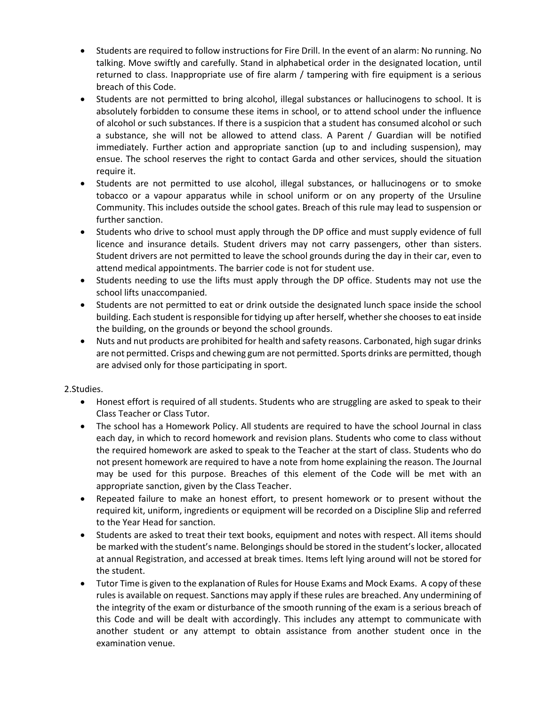- Students are required to follow instructions for Fire Drill. In the event of an alarm: No running. No talking. Move swiftly and carefully. Stand in alphabetical order in the designated location, until returned to class. Inappropriate use of fire alarm / tampering with fire equipment is a serious breach of this Code.
- Students are not permitted to bring alcohol, illegal substances or hallucinogens to school. It is absolutely forbidden to consume these items in school, or to attend school under the influence of alcohol or such substances. If there is a suspicion that a student has consumed alcohol or such a substance, she will not be allowed to attend class. A Parent / Guardian will be notified immediately. Further action and appropriate sanction (up to and including suspension), may ensue. The school reserves the right to contact Garda and other services, should the situation require it.
- Students are not permitted to use alcohol, illegal substances, or hallucinogens or to smoke tobacco or a vapour apparatus while in school uniform or on any property of the Ursuline Community. This includes outside the school gates. Breach of this rule may lead to suspension or further sanction.
- Students who drive to school must apply through the DP office and must supply evidence of full licence and insurance details. Student drivers may not carry passengers, other than sisters. Student drivers are not permitted to leave the school grounds during the day in their car, even to attend medical appointments. The barrier code is not for student use.
- Students needing to use the lifts must apply through the DP office. Students may not use the school lifts unaccompanied.
- Students are not permitted to eat or drink outside the designated lunch space inside the school building. Each student is responsible for tidying up after herself, whether she chooses to eat inside the building, on the grounds or beyond the school grounds.
- Nuts and nut products are prohibited for health and safety reasons. Carbonated, high sugar drinks are not permitted. Crisps and chewing gum are not permitted. Sports drinks are permitted, though are advised only for those participating in sport.

2.Studies.

- Honest effort is required of all students. Students who are struggling are asked to speak to their Class Teacher or Class Tutor.
- The school has a Homework Policy. All students are required to have the school Journal in class each day, in which to record homework and revision plans. Students who come to class without the required homework are asked to speak to the Teacher at the start of class. Students who do not present homework are required to have a note from home explaining the reason. The Journal may be used for this purpose. Breaches of this element of the Code will be met with an appropriate sanction, given by the Class Teacher.
- Repeated failure to make an honest effort, to present homework or to present without the required kit, uniform, ingredients or equipment will be recorded on a Discipline Slip and referred to the Year Head for sanction.
- Students are asked to treat their text books, equipment and notes with respect. All items should be marked with the student's name. Belongings should be stored in the student's locker, allocated at annual Registration, and accessed at break times. Items left lying around will not be stored for the student.
- Tutor Time is given to the explanation of Rules for House Exams and Mock Exams. A copy of these rules is available on request. Sanctions may apply if these rules are breached. Any undermining of the integrity of the exam or disturbance of the smooth running of the exam is a serious breach of this Code and will be dealt with accordingly. This includes any attempt to communicate with another student or any attempt to obtain assistance from another student once in the examination venue.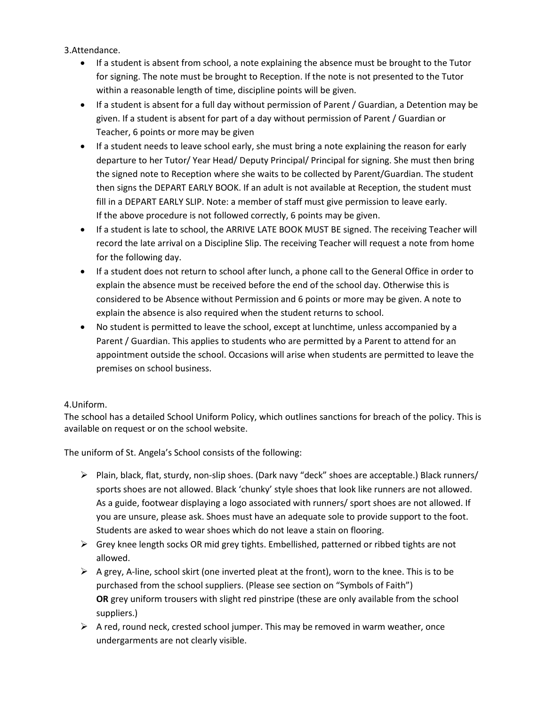3.Attendance.

- If a student is absent from school, a note explaining the absence must be brought to the Tutor for signing. The note must be brought to Reception. If the note is not presented to the Tutor within a reasonable length of time, discipline points will be given.
- If a student is absent for a full day without permission of Parent / Guardian, a Detention may be given. If a student is absent for part of a day without permission of Parent / Guardian or Teacher, 6 points or more may be given
- If a student needs to leave school early, she must bring a note explaining the reason for early departure to her Tutor/ Year Head/ Deputy Principal/ Principal for signing. She must then bring the signed note to Reception where she waits to be collected by Parent/Guardian. The student then signs the DEPART EARLY BOOK. If an adult is not available at Reception, the student must fill in a DEPART EARLY SLIP. Note: a member of staff must give permission to leave early. If the above procedure is not followed correctly, 6 points may be given.
- If a student is late to school, the ARRIVE LATE BOOK MUST BE signed. The receiving Teacher will record the late arrival on a Discipline Slip. The receiving Teacher will request a note from home for the following day.
- If a student does not return to school after lunch, a phone call to the General Office in order to explain the absence must be received before the end of the school day. Otherwise this is considered to be Absence without Permission and 6 points or more may be given. A note to explain the absence is also required when the student returns to school.
- No student is permitted to leave the school, except at lunchtime, unless accompanied by a Parent / Guardian. This applies to students who are permitted by a Parent to attend for an appointment outside the school. Occasions will arise when students are permitted to leave the premises on school business.

#### 4.Uniform.

The school has a detailed School Uniform Policy, which outlines sanctions for breach of the policy. This is available on request or on the school website.

The uniform of St. Angela's School consists of the following:

- ➢ Plain, black, flat, sturdy, non-slip shoes. (Dark navy "deck" shoes are acceptable.) Black runners/ sports shoes are not allowed. Black 'chunky' style shoes that look like runners are not allowed. As a guide, footwear displaying a logo associated with runners/ sport shoes are not allowed. If you are unsure, please ask. Shoes must have an adequate sole to provide support to the foot. Students are asked to wear shoes which do not leave a stain on flooring.
- $\triangleright$  Grey knee length socks OR mid grey tights. Embellished, patterned or ribbed tights are not allowed.
- $\triangleright$  A grey, A-line, school skirt (one inverted pleat at the front), worn to the knee. This is to be purchased from the school suppliers. (Please see section on "Symbols of Faith") **OR** grey uniform trousers with slight red pinstripe (these are only available from the school suppliers.)
- $\triangleright$  A red, round neck, crested school jumper. This may be removed in warm weather, once undergarments are not clearly visible.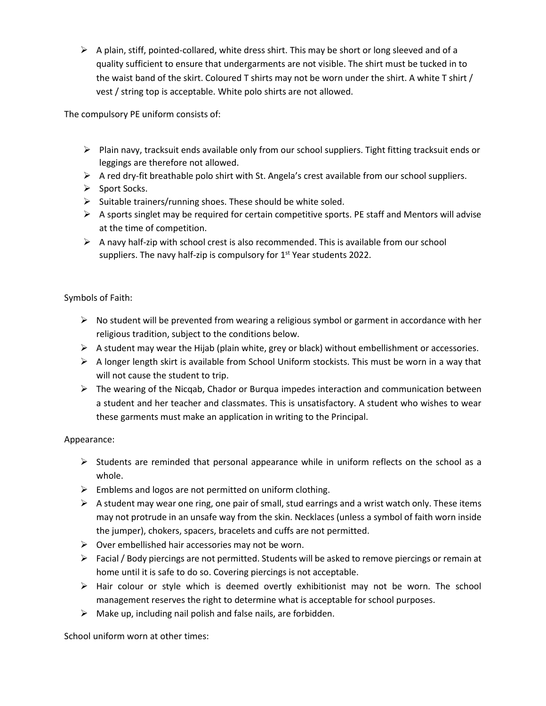$\triangleright$  A plain, stiff, pointed-collared, white dress shirt. This may be short or long sleeved and of a quality sufficient to ensure that undergarments are not visible. The shirt must be tucked in to the waist band of the skirt. Coloured T shirts may not be worn under the shirt. A white T shirt / vest / string top is acceptable. White polo shirts are not allowed.

The compulsory PE uniform consists of:

- ➢ Plain navy, tracksuit ends available only from our school suppliers. Tight fitting tracksuit ends or leggings are therefore not allowed.
- ➢ A red dry-fit breathable polo shirt with St. Angela's crest available from our school suppliers.
- ➢ Sport Socks.
- ➢ Suitable trainers/running shoes. These should be white soled.
- $\triangleright$  A sports singlet may be required for certain competitive sports. PE staff and Mentors will advise at the time of competition.
- $\triangleright$  A navy half-zip with school crest is also recommended. This is available from our school suppliers. The navy half-zip is compulsory for 1<sup>st</sup> Year students 2022.

#### Symbols of Faith:

- $\triangleright$  No student will be prevented from wearing a religious symbol or garment in accordance with her religious tradition, subject to the conditions below.
- $\triangleright$  A student may wear the Hijab (plain white, grey or black) without embellishment or accessories.
- $\triangleright$  A longer length skirt is available from School Uniform stockists. This must be worn in a way that will not cause the student to trip.
- $\triangleright$  The wearing of the Nicqab, Chador or Burqua impedes interaction and communication between a student and her teacher and classmates. This is unsatisfactory. A student who wishes to wear these garments must make an application in writing to the Principal.

#### Appearance:

- $\triangleright$  Students are reminded that personal appearance while in uniform reflects on the school as a whole.
- $\triangleright$  Emblems and logos are not permitted on uniform clothing.
- $\triangleright$  A student may wear one ring, one pair of small, stud earrings and a wrist watch only. These items may not protrude in an unsafe way from the skin. Necklaces (unless a symbol of faith worn inside the jumper), chokers, spacers, bracelets and cuffs are not permitted.
- $\triangleright$  Over embellished hair accessories may not be worn.
- ➢ Facial / Body piercings are not permitted. Students will be asked to remove piercings or remain at home until it is safe to do so. Covering piercings is not acceptable.
- ➢ Hair colour or style which is deemed overtly exhibitionist may not be worn. The school management reserves the right to determine what is acceptable for school purposes.
- $\triangleright$  Make up, including nail polish and false nails, are forbidden.

School uniform worn at other times: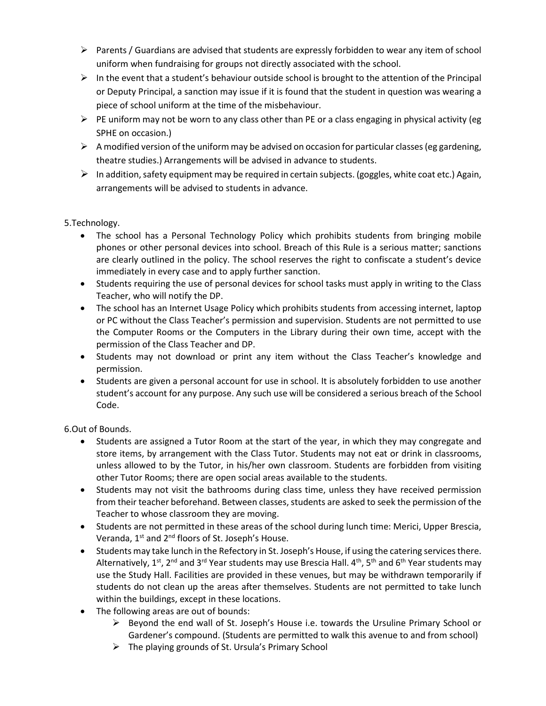- $\triangleright$  Parents / Guardians are advised that students are expressly forbidden to wear any item of school uniform when fundraising for groups not directly associated with the school.
- $\triangleright$  In the event that a student's behaviour outside school is brought to the attention of the Principal or Deputy Principal, a sanction may issue if it is found that the student in question was wearing a piece of school uniform at the time of the misbehaviour.
- $\triangleright$  PE uniform may not be worn to any class other than PE or a class engaging in physical activity (eg SPHE on occasion.)
- $\triangleright$  A modified version of the uniform may be advised on occasion for particular classes (eg gardening, theatre studies.) Arrangements will be advised in advance to students.
- $\triangleright$  In addition, safety equipment may be required in certain subjects. (goggles, white coat etc.) Again, arrangements will be advised to students in advance.

## 5.Technology.

- The school has a Personal Technology Policy which prohibits students from bringing mobile phones or other personal devices into school. Breach of this Rule is a serious matter; sanctions are clearly outlined in the policy. The school reserves the right to confiscate a student's device immediately in every case and to apply further sanction.
- Students requiring the use of personal devices for school tasks must apply in writing to the Class Teacher, who will notify the DP.
- The school has an Internet Usage Policy which prohibits students from accessing internet, laptop or PC without the Class Teacher's permission and supervision. Students are not permitted to use the Computer Rooms or the Computers in the Library during their own time, accept with the permission of the Class Teacher and DP.
- Students may not download or print any item without the Class Teacher's knowledge and permission.
- Students are given a personal account for use in school. It is absolutely forbidden to use another student's account for any purpose. Any such use will be considered a serious breach of the School Code.

6.Out of Bounds.

- Students are assigned a Tutor Room at the start of the year, in which they may congregate and store items, by arrangement with the Class Tutor. Students may not eat or drink in classrooms, unless allowed to by the Tutor, in his/her own classroom. Students are forbidden from visiting other Tutor Rooms; there are open social areas available to the students.
- Students may not visit the bathrooms during class time, unless they have received permission from their teacher beforehand. Between classes, students are asked to seek the permission of the Teacher to whose classroom they are moving.
- Students are not permitted in these areas of the school during lunch time: Merici, Upper Brescia, Veranda,  $1^{st}$  and  $2^{nd}$  floors of St. Joseph's House.
- Students may take lunch in the Refectory in St. Joseph's House, if using the catering services there. Alternatively, 1<sup>st</sup>, 2<sup>nd</sup> and 3<sup>rd</sup> Year students may use Brescia Hall. 4<sup>th</sup>, 5<sup>th</sup> and 6<sup>th</sup> Year students may use the Study Hall. Facilities are provided in these venues, but may be withdrawn temporarily if students do not clean up the areas after themselves. Students are not permitted to take lunch within the buildings, except in these locations.
- The following areas are out of bounds:
	- $\triangleright$  Beyond the end wall of St. Joseph's House i.e. towards the Ursuline Primary School or Gardener's compound. (Students are permitted to walk this avenue to and from school)
	- $\triangleright$  The playing grounds of St. Ursula's Primary School